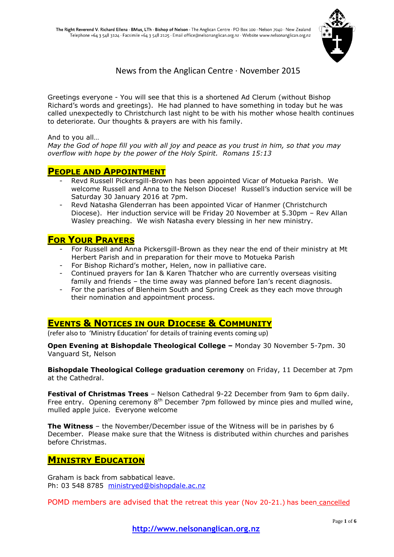

## News from the Anglican Centre · November 2015

Greetings everyone - You will see that this is a shortened Ad Clerum (without Bishop Richard's words and greetings). He had planned to have something in today but he was called unexpectedly to Christchurch last night to be with his mother whose health continues to deteriorate. Our thoughts & prayers are with his family.

#### And to you all…

*May the God of hope fill you with all joy and peace as you trust in him, so that you may overflow with hope by the power of the Holy Spirit. Romans 15:13*

## **PEOPLE AND APPOINTMENT**

- Revd Russell Pickersgill-Brown has been appointed Vicar of Motueka Parish. We welcome Russell and Anna to the Nelson Diocese! Russell's induction service will be Saturday 30 January 2016 at 7pm.
- Revd Natasha Glenderran has been appointed Vicar of Hanmer (Christchurch Diocese). Her induction service will be Friday 20 November at 5.30pm – Rev Allan Wasley preaching. We wish Natasha every blessing in her new ministry.

## **FOR YOUR PRAYERS**

- For Russell and Anna Pickersgill-Brown as they near the end of their ministry at Mt Herbert Parish and in preparation for their move to Motueka Parish
- For Bishop Richard's mother, Helen, now in palliative care.
- Continued prayers for Ian & Karen Thatcher who are currently overseas visiting family and friends – the time away was planned before Ian's recent diagnosis.
- For the parishes of Blenheim South and Spring Creek as they each move through their nomination and appointment process.

## **EVENTS & NOTICES IN OUR DIOCESE & COMMUNITY**

(refer also to 'Ministry Education' for details of training events coming up)

**Open Evening at Bishopdale Theological College –** Monday 30 November 5-7pm. 30 Vanguard St, Nelson

**Bishopdale Theological College graduation ceremony** on Friday, 11 December at 7pm at the Cathedral.

**Festival of Christmas Trees** – Nelson Cathedral 9-22 December from 9am to 6pm daily. Free entry. Opening ceremony 8<sup>th</sup> December 7pm followed by mince pies and mulled wine, mulled apple juice. Everyone welcome

**The Witness** – the November/December issue of the Witness will be in parishes by 6 December. Please make sure that the Witness is distributed within churches and parishes before Christmas.

## **MINISTRY EDUCATION**

Graham is back from sabbatical leave. Ph: 03 548 8785 [ministryed@bishopdale.ac.nz](mailto:ministryed@bishopdale.ac.nz)

POMD members are advised that the retreat this year (Nov 20-21.) has been cancelled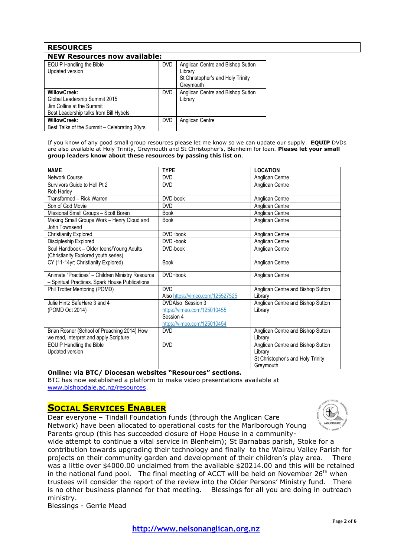| <b>RESOURCES</b>                             |            |                                   |  |  |  |
|----------------------------------------------|------------|-----------------------------------|--|--|--|
| <b>NEW Resources now available:</b>          |            |                                   |  |  |  |
| <b>EQUIP Handling the Bible</b>              | <b>DVD</b> | Anglican Centre and Bishop Sutton |  |  |  |
| Updated version                              |            | Library                           |  |  |  |
|                                              |            | St Christopher's and Holy Trinity |  |  |  |
|                                              |            | Greymouth                         |  |  |  |
| WillowCreek:                                 | <b>DVD</b> | Anglican Centre and Bishop Sutton |  |  |  |
| Global Leadership Summit 2015                |            | Library                           |  |  |  |
| Jim Collins at the Summit                    |            |                                   |  |  |  |
| Best Leadership talks from Bill Hybels       |            |                                   |  |  |  |
| WillowCreek:                                 | <b>DVD</b> | <b>Anglican Centre</b>            |  |  |  |
| Best Talks of the Summit - Celebrating 20yrs |            |                                   |  |  |  |

If you know of any good small group resources please let me know so we can update our supply. **EQUIP** DVDs are also available at Holy Trinity, Greymouth and St Christopher's, Blenheim for loan. **Please let your small group leaders know about these resources by passing this list on**.

| <b>NAME</b>                                      | <b>TYPE</b>                      | <b>LOCATION</b>                              |
|--------------------------------------------------|----------------------------------|----------------------------------------------|
| Network Course                                   | <b>DVD</b>                       | Anglican Centre                              |
| Survivors Guide to Hell Pt 2                     | <b>DVD</b>                       | Anglican Centre                              |
| Rob Harley                                       |                                  |                                              |
| Transformed - Rick Warren                        | DVD-book                         | Anglican Centre                              |
| Son of God Movie                                 | <b>DVD</b>                       | Anglican Centre                              |
| Missional Small Groups - Scott Boren             | <b>Book</b>                      | Anglican Centre                              |
| Making Small Groups Work - Henry Cloud and       | <b>Book</b>                      | Anglican Centre                              |
| John Townsend                                    |                                  |                                              |
| <b>Christianity Explored</b>                     | DVD+book                         | Anglican Centre                              |
| Discipleship Explored                            | DVD-book                         | Anglican Centre                              |
| Soul Handbook - Older teens/Young Adults         | DVD-book                         | Anglican Centre                              |
| (Christianity Explored youth series)             |                                  |                                              |
| CY (11-14yr; Christianity Explored)              | <b>Book</b>                      | Anglican Centre                              |
|                                                  |                                  |                                              |
| Animate "Practices" - Children Ministry Resource | DVD+book                         | Anglican Centre                              |
| - Spiritual Practices. Spark House Publications  | <b>DVD</b>                       |                                              |
| Phil Trotter Mentoring (POMD)                    | Also https://vimeo.com/125527525 | Anglican Centre and Bishop Sutton<br>Library |
| Julie Hintz SafeHere 3 and 4                     | DVDAIso Session 3                | Anglican Centre and Bishop Sutton            |
| (POMD Oct 2014)                                  | https://vimeo.com/125010455      | Library                                      |
|                                                  | Session 4                        |                                              |
|                                                  | https://vimeo.com/125010454      |                                              |
| Brian Rosner (School of Preaching 2014) How      | <b>DVD</b>                       | Anglican Centre and Bishop Sutton            |
| we read, interpret and apply Scripture           |                                  | Library                                      |
| <b>EQUIP Handling the Bible</b>                  | <b>DVD</b>                       | Anglican Centre and Bishop Sutton            |
| Updated version                                  |                                  | Library                                      |
|                                                  |                                  | St Christopher's and Holy Trinity            |
|                                                  |                                  | Greymouth                                    |

#### **Online: via BTC/ Diocesan websites "Resources" sections.**

BTC has now established a platform to make video presentations available at [www.bishopdale.ac.nz/resources.](http://www.bishopdale.ac.nz/resources)

## **SOCIAL SERVICES ENABLER**

Dear everyone – Tindall Foundation funds (through the Anglican Care Network) have been allocated to operational costs for the Marlborough Young Parents group (this has succeeded closure of Hope House in a community-

wide attempt to continue a vital service in Blenheim); St Barnabas parish, Stoke for a contribution towards upgrading their technology and finally to the Wairau Valley Parish for projects on their community garden and development of their children's play area. There was a little over \$4000.00 unclaimed from the available \$20214.00 and this will be retained in the national fund pool. The final meeting of ACCT will be held on November  $26<sup>th</sup>$  when trustees will consider the report of the review into the Older Persons' Ministry fund. There is no other business planned for that meeting. Blessings for all you are doing in outreach ministry.

Blessings - Gerrie Mead

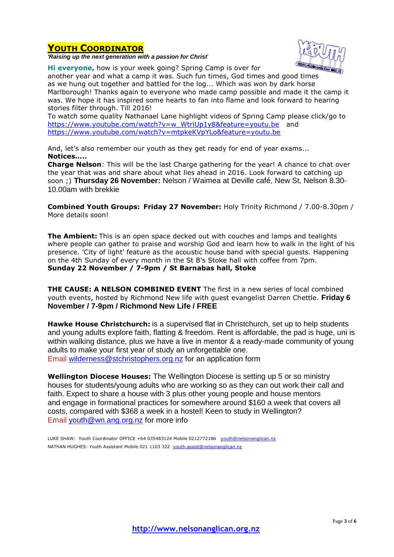## **YOUTH COORDINATOR**

*'Raising up the next generation with a passion for Christ*'



**Hi everyone,** how is your week going? Spring Camp is over for another year and what a camp it was. Such fun times, God times and good times as we hung out together and battled for the log... Which was won by dark horse Marlborough! Thanks again to everyone who made camp possible and made it the camp it was. We hope it has inspired some hearts to fan into flame and look forward to hearing stories filter through. Till 2016!

To watch some quality Nathanael Lane highlight videos of Spring Camp please click/go to [https://www.youtube.com/watch?v=w\\_WtriUp1y8&feature=youtu.be](https://www.youtube.com/watch?v=w_WtriUp1y8&feature=youtu.be) and <https://www.youtube.com/watch?v=mtpkeKVpYLo&feature=youtu.be>

And, let's also remember our youth as they get ready for end of year exams... **Notices…..**

**Charge Nelson**: This will be the last Charge gathering for the year! A chance to chat over the year that was and share about what lies ahead in 2016. Look forward to catching up soon ;) **Thursday 26 November:** Nelson / Waimea at Deville café, New St, Nelson 8.30- 10.00am with brekkie

**Combined Youth Groups: Friday 27 November:** Holy Trinity Richmond / 7.00-8.30pm / More details soon!

**The Ambient:** This is an open space decked out with couches and lamps and tealights where people can gather to praise and worship God and learn how to walk in the light of his presence. 'City of light' feature as the acoustic house band with special guests. Happening on the 4th Sunday of every month in the St B's Stoke hall with coffee from 7pm. **Sunday 22 November / 7-9pm / St Barnabas hall, Stoke**

**THE CAUSE: A NELSON COMBINED EVENT** The first in a new series of local combined youth events, hosted by Richmond New life with guest evangelist Darren Chettle. **Friday 6 November / 7-9pm / Richmond New Life / FREE**

**Hawke House Christchurch:** is a supervised flat in Christchurch, set up to help students and young adults explore faith, flatting & freedom. Rent is affordable, the pad is huge, uni is within walking distance, plus we have a live in mentor & a ready-made community of young adults to make your first year of study an unforgettable one. Email [wilderness@stchristophers.org.nz](mailto:wilderness@stchristophers.org.nz) for an application form

**Wellington Diocese Houses:** The Wellington Diocese is setting up 5 or so ministry houses for students/young adults who are working so as they can out work their call and faith. Expect to share a house with 3 plus other young people and house mentors and engage in formational practices for somewhere around \$160 a week that covers all costs, compared with \$368 a week in a hostel! Keen to study in Wellington? Email [youth@wn.ang.org.nz](mailto:youth@wn.ang.org.nz) for more info

LUKE SHAW: Youth Coordinator OFFICE +64 035483124 Mobile 0212772186 [youth@nelsonanglican.nz](mailto:youth@nelsonanglican.nz) NATHAN HUGHES: Youth Assistant Mobile 021 1103 322 [youth.assist@nelsonanglican.nz](mailto:youth.assist@nelsonanglican.nz)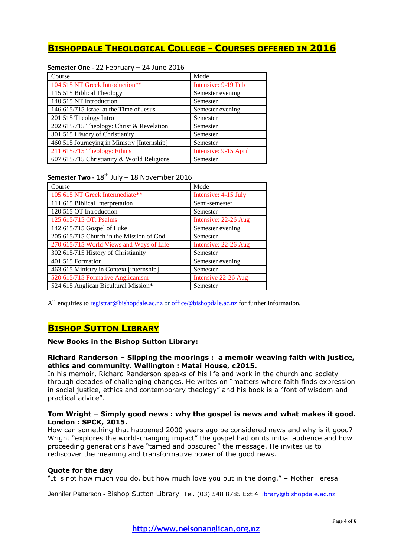## **BISHOPDALE THEOLOGICAL COLLEGE - COURSES OFFERED IN 2016**

| Course                                      | Mode                  |
|---------------------------------------------|-----------------------|
| 104.515 NT Greek Introduction**             | Intensive: 9-19 Feb   |
| 115.515 Biblical Theology                   | Semester evening      |
| 140.515 NT Introduction                     | Semester              |
| 146.615/715 Israel at the Time of Jesus     | Semester evening      |
| 201.515 Theology Intro                      | Semester              |
| 202.615/715 Theology: Christ & Revelation   | Semester              |
| 301.515 History of Christianity             | Semester              |
| 460.515 Journeying in Ministry [Internship] | Semester              |
| 211.615/715 Theology: Ethics                | Intensive: 9-15 April |
| 607.615/715 Christianity & World Religions  | Semester              |

### **Semester One -** 22 February – 24 June 2016

## **Semester Two - 18<sup>th</sup> July – 18 November 2016**

| Course                                   | Mode                 |
|------------------------------------------|----------------------|
| 105.615 NT Greek Intermediate**          | Intensive: 4-15 July |
| 111.615 Biblical Interpretation          | Semi-semester        |
| 120.515 OT Introduction                  | Semester             |
| 125.615/715 OT: Psalms                   | Intensive: 22-26 Aug |
| 142.615/715 Gospel of Luke               | Semester evening     |
| 205.615/715 Church in the Mission of God | Semester             |
| 270.615/715 World Views and Ways of Life | Intensive: 22-26 Aug |
| 302.615/715 History of Christianity      | Semester             |
| 401.515 Formation                        | Semester evening     |
| 463.615 Ministry in Context [internship] | Semester             |
| 520.615/715 Formative Anglicanism        | Intensive 22-26 Aug  |
| 524.615 Anglican Bicultural Mission*     | Semester             |

All enquiries to [registrar@bishopdale.ac.nz](mailto:registrar@bishopdale.ac.nz) or [office@bishopdale.ac.nz](mailto:office@bishopdale.ac.nz) for further information.

## **BISHOP SUTTON LIBRARY**

#### **New Books in the Bishop Sutton Library:**

#### **Richard Randerson – Slipping the moorings : a memoir weaving faith with justice, ethics and community. Wellington : Matai House, c2015.**

In his memoir, Richard Randerson speaks of his life and work in the church and society through decades of challenging changes. He writes on "matters where faith finds expression in social justice, ethics and contemporary theology" and his book is a "font of wisdom and practical advice".

#### **Tom Wright – Simply good news : why the gospel is news and what makes it good. London : SPCK, 2015.**

How can something that happened 2000 years ago be considered news and why is it good? Wright "explores the world-changing impact" the gospel had on its initial audience and how proceeding generations have "tamed and obscured" the message. He invites us to rediscover the meaning and transformative power of the good news.

### **Quote for the day**

"It is not how much you do, but how much love you put in the doing." – Mother Teresa

Jennifer Patterson - Bishop Sutton Library Tel. (03) 548 8785 Ext 4 [library@bishopdale.ac.nz](mailto:library@bishopdale.ac.nz)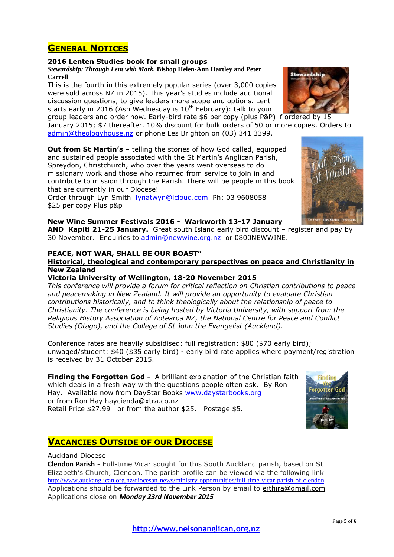## **GENERAL NOTICES**

#### **2016 Lenten Studies book for small groups**

*Stewardship: Through Lent with Mark,* **Bishop Helen-Ann Hartley and Peter Carrell**

This is the fourth in this extremely popular series (over 3,000 copies were sold across NZ in 2015). This year's studies include additional discussion questions, to give leaders more scope and options. Lent starts early in 2016 (Ash Wednesday is  $10<sup>th</sup>$  February): talk to your

group leaders and order now. Early-bird rate \$6 per copy (plus P&P) if ordered by 15 January 2015; \$7 thereafter. 10% discount for bulk orders of 50 or more copies. Orders to [admin@theologyhouse.nz](mailto:admin@theologyhouse.nz) or phone Les Brighton on (03) 341 3399.

**Out from St Martin's** – telling the stories of how God called, equipped and sustained people associated with the St Martin's Anglican Parish, Spreydon, Christchurch, who over the years went overseas to do missionary work and those who returned from service to join in and contribute to mission through the Parish. There will be people in this book that are currently in our Diocese!

Order through Lyn Smith [lynatwyn@icloud.com](mailto:lynatwyn@icloud.com) Ph: 03 9608058 \$25 per copy Plus p&p

### **New Wine Summer Festivals 2016 - Warkworth 13-17 January**

**AND Kapiti 21-25 January.** Great south Island early bird discount – register and pay by 30 November. Enquiries to [admin@newwine.org.nz](mailto:admin@newwine.org.nz) or 0800NEWWINE.

## **PEACE, NOT WAR, SHALL BE OUR BOAST"**

## **Historical, theological and contemporary perspectives on peace and Christianity in New Zealand**

### **Victoria University of Wellington, 18-20 November 2015**

*This conference will provide a forum for critical reflection on Christian contributions to peace and peacemaking in New Zealand. It will provide an opportunity to evaluate Christian contributions historically, and to think theologically about the relationship of peace to Christianity. The conference is being hosted by Victoria University, with support from the Religious History Association of Aotearoa NZ, the National Centre for Peace and Conflict Studies (Otago), and the College of St John the Evangelist (Auckland).*

Conference rates are heavily subsidised: full registration: \$80 (\$70 early bird); unwaged/student: \$40 (\$35 early bird) - early bird rate applies where payment/registration is received by 31 October 2015.

**Finding the Forgotten God -** A brilliant explanation of the Christian faith which deals in a fresh way with the questions people often ask. By Ron Hay. Available now from DayStar Books [www.daystarbooks.org](http://www.daystarbooks.org/) or from Ron Hay [haycienda@xtra.co.nz](mailto:haycienda@xtra.co.nz) Retail Price \$27.99 or from the author \$25. Postage \$5.



## **VACANCIES OUTSIDE OF OUR DIOCESE**

#### Auckland Diocese

**Clendon Parish -** Full-time Vicar sought for this South Auckland parish, based on St Elizabeth's Church, Clendon. The parish profile can be viewed via the following link <http://www.auckanglican.org.nz/diocesan-news/ministry-opportunities/full-time-vicar-parish-of-clendon> Applications should be forwarded to the Link Person by email to [ejthira@gmail.com](mailto:ejthira@gmail.com) Applications close on *Monday 23rd November 2015*